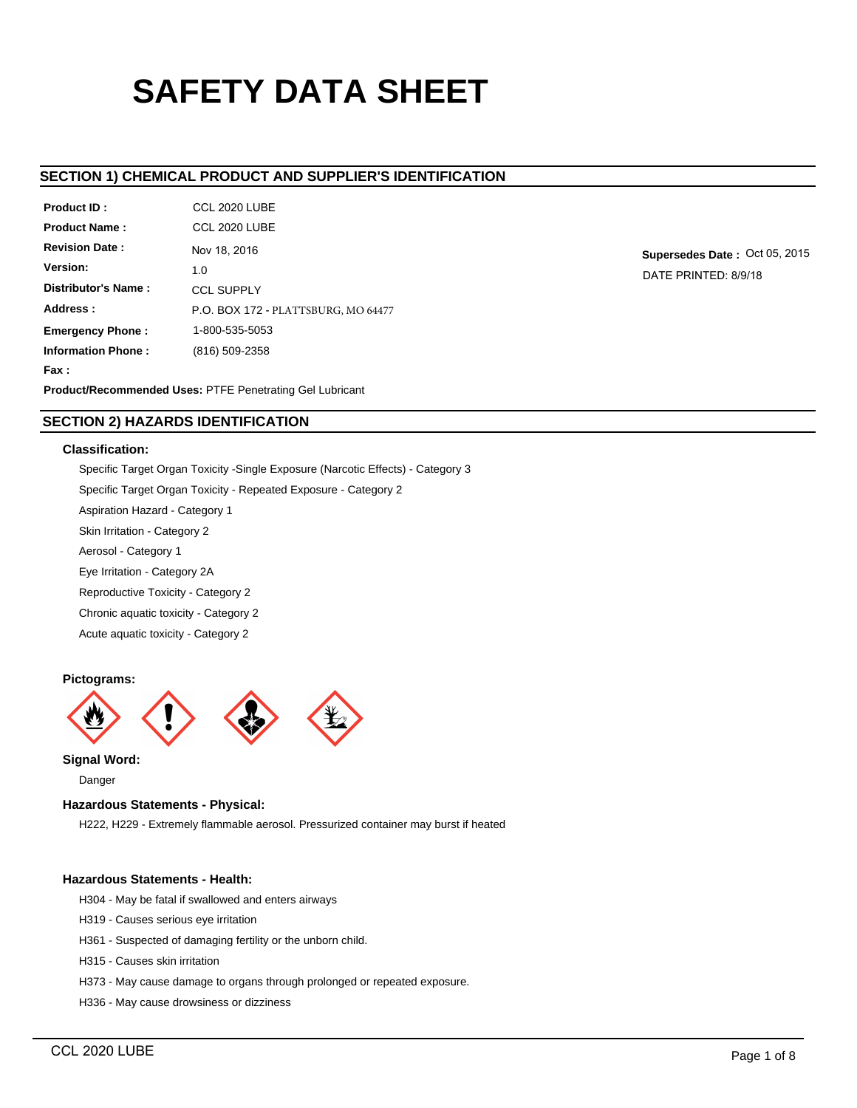# **SAFETY DATA SHEET**

# **SECTION 1) CHEMICAL PRODUCT AND SUPPLIER'S IDENTIFICATION**

| Product ID:               | CCL 2020 LUBE                       |
|---------------------------|-------------------------------------|
| <b>Product Name:</b>      | CCL 2020 LUBE                       |
| <b>Revision Date:</b>     | Nov 18, 2016                        |
| Version:                  | 1.0                                 |
| Distributor's Name:       | <b>CCL SUPPLY</b>                   |
| Address:                  | P.O. BOX 172 - PLATTSBURG, MO 64477 |
| <b>Emergency Phone:</b>   | 1-800-535-5053                      |
| <b>Information Phone:</b> | (816) 509-2358                      |
| Fax:                      |                                     |
|                           | ________                            |

**Supersedes Date :** Oct 05, 2015 DATE PRINTED: 8/9/18

**Product/Recommended Uses:** PTFE Penetrating Gel Lubricant

# **SECTION 2) HAZARDS IDENTIFICATION**

# **Classification:**

Specific Target Organ Toxicity -Single Exposure (Narcotic Effects) - Category 3 Specific Target Organ Toxicity - Repeated Exposure - Category 2 Aspiration Hazard - Category 1 Skin Irritation - Category 2 Aerosol - Category 1 Eye Irritation - Category 2A Reproductive Toxicity - Category 2 Chronic aquatic toxicity - Category 2 Acute aquatic toxicity - Category 2

#### **Pictograms:**



# **Signal Word:**

Danger

# **Hazardous Statements - Physical:**

H222, H229 - Extremely flammable aerosol. Pressurized container may burst if heated

# **Hazardous Statements - Health:**

- H304 May be fatal if swallowed and enters airways
- H319 Causes serious eye irritation
- H361 Suspected of damaging fertility or the unborn child.
- H315 Causes skin irritation
- H373 May cause damage to organs through prolonged or repeated exposure.
- H336 May cause drowsiness or dizziness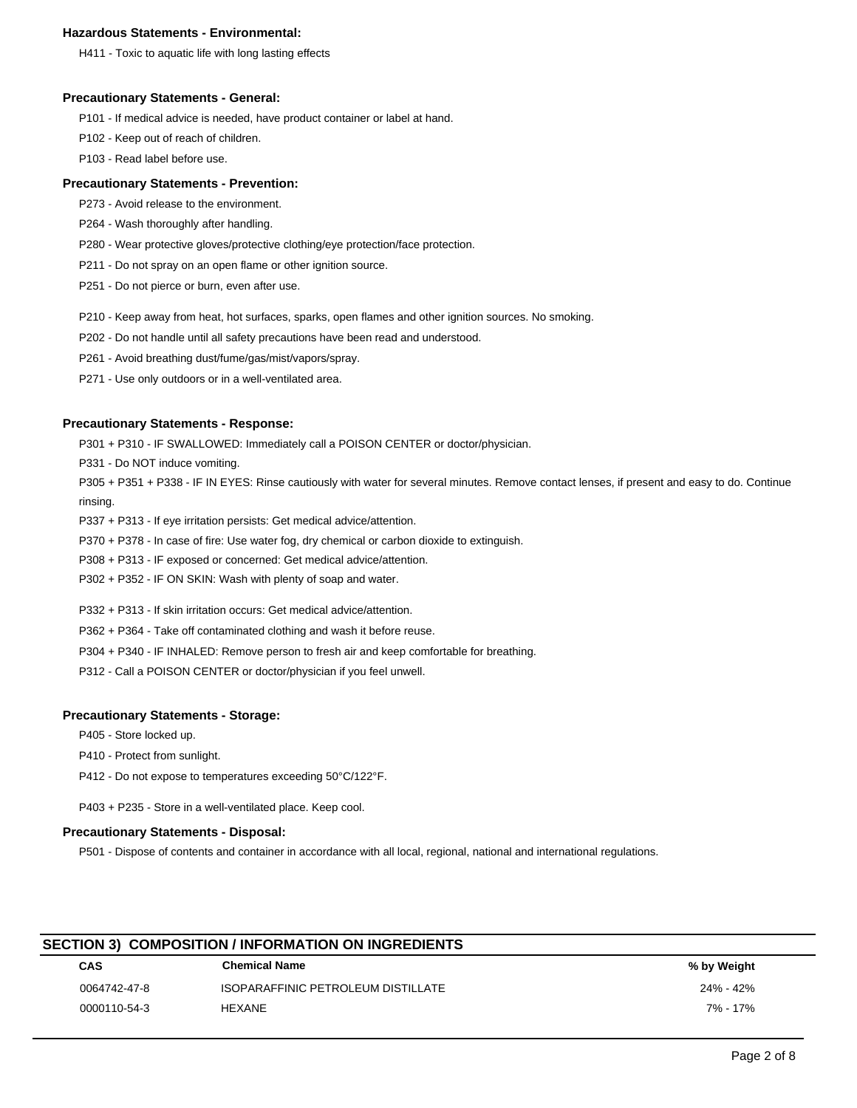# **Hazardous Statements - Environmental:**

H411 - Toxic to aquatic life with long lasting effects

#### **Precautionary Statements - General:**

P101 - If medical advice is needed, have product container or label at hand.

P102 - Keep out of reach of children.

P103 - Read label before use.

# **Precautionary Statements - Prevention:**

- P273 Avoid release to the environment.
- P264 Wash thoroughly after handling.
- P280 Wear protective gloves/protective clothing/eye protection/face protection.
- P211 Do not spray on an open flame or other ignition source.
- P251 Do not pierce or burn, even after use.
- P210 Keep away from heat, hot surfaces, sparks, open flames and other ignition sources. No smoking.
- P202 Do not handle until all safety precautions have been read and understood.
- P261 Avoid breathing dust/fume/gas/mist/vapors/spray.
- P271 Use only outdoors or in a well-ventilated area.

# **Precautionary Statements - Response:**

P301 + P310 - IF SWALLOWED: Immediately call a POISON CENTER or doctor/physician.

P331 - Do NOT induce vomiting.

P305 + P351 + P338 - IF IN EYES: Rinse cautiously with water for several minutes. Remove contact lenses, if present and easy to do. Continue rinsing.

P337 + P313 - If eye irritation persists: Get medical advice/attention.

P370 + P378 - In case of fire: Use water fog, dry chemical or carbon dioxide to extinguish.

P308 + P313 - IF exposed or concerned: Get medical advice/attention.

P302 + P352 - IF ON SKIN: Wash with plenty of soap and water.

P332 + P313 - If skin irritation occurs: Get medical advice/attention.

P362 + P364 - Take off contaminated clothing and wash it before reuse.

P304 + P340 - IF INHALED: Remove person to fresh air and keep comfortable for breathing.

P312 - Call a POISON CENTER or doctor/physician if you feel unwell.

# **Precautionary Statements - Storage:**

P405 - Store locked up.

P410 - Protect from sunlight.

P412 - Do not expose to temperatures exceeding 50°C/122°F.

P403 + P235 - Store in a well-ventilated place. Keep cool.

## **Precautionary Statements - Disposal:**

P501 - Dispose of contents and container in accordance with all local, regional, national and international regulations.

| <b>SECTION 3) COMPOSITION / INFORMATION ON INGREDIENTS</b> |                                    |             |  |  |  |  |  |
|------------------------------------------------------------|------------------------------------|-------------|--|--|--|--|--|
| <b>CAS</b>                                                 | <b>Chemical Name</b>               | % by Weight |  |  |  |  |  |
| 0064742-47-8                                               | ISOPARAFFINIC PETROLEUM DISTILLATE | 24% - 42%   |  |  |  |  |  |
| 0000110-54-3                                               | <b>HEXANE</b>                      | 7% - 17%    |  |  |  |  |  |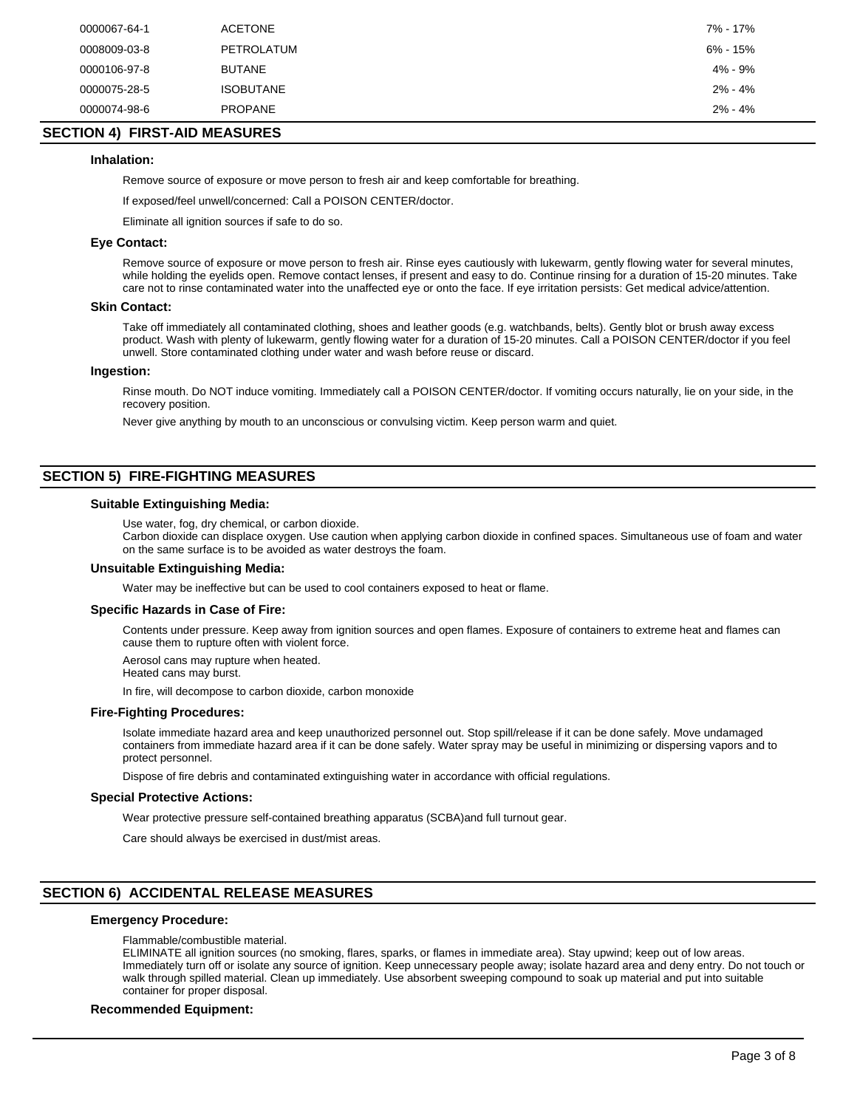| 6% - 15%<br>PETROLATUM<br>0008009-03-8<br>4% - 9%<br><b>BUTANE</b><br>0000106-97-8<br>$2\% - 4\%$<br><b>ISOBUTANE</b><br>0000075-28-5<br><b>PROPANE</b><br>$2\% - 4\%$<br>0000074-98-6 | 0000067-64-1 | <b>ACETONE</b> | 7% - 17% |
|----------------------------------------------------------------------------------------------------------------------------------------------------------------------------------------|--------------|----------------|----------|
|                                                                                                                                                                                        |              |                |          |
|                                                                                                                                                                                        |              |                |          |
|                                                                                                                                                                                        |              |                |          |
|                                                                                                                                                                                        |              |                |          |

# **SECTION 4) FIRST-AID MEASURES**

#### **Inhalation:**

Remove source of exposure or move person to fresh air and keep comfortable for breathing.

If exposed/feel unwell/concerned: Call a POISON CENTER/doctor.

Eliminate all ignition sources if safe to do so.

#### **Eye Contact:**

Remove source of exposure or move person to fresh air. Rinse eyes cautiously with lukewarm, gently flowing water for several minutes, while holding the eyelids open. Remove contact lenses, if present and easy to do. Continue rinsing for a duration of 15-20 minutes. Take care not to rinse contaminated water into the unaffected eye or onto the face. If eye irritation persists: Get medical advice/attention.

#### **Skin Contact:**

Take off immediately all contaminated clothing, shoes and leather goods (e.g. watchbands, belts). Gently blot or brush away excess product. Wash with plenty of lukewarm, gently flowing water for a duration of 15-20 minutes. Call a POISON CENTER/doctor if you feel unwell. Store contaminated clothing under water and wash before reuse or discard.

#### **Ingestion:**

Rinse mouth. Do NOT induce vomiting. Immediately call a POISON CENTER/doctor. If vomiting occurs naturally, lie on your side, in the recovery position.

Never give anything by mouth to an unconscious or convulsing victim. Keep person warm and quiet.

# **SECTION 5) FIRE-FIGHTING MEASURES**

#### **Suitable Extinguishing Media:**

Use water, fog, dry chemical, or carbon dioxide.

Carbon dioxide can displace oxygen. Use caution when applying carbon dioxide in confined spaces. Simultaneous use of foam and water on the same surface is to be avoided as water destroys the foam.

#### **Unsuitable Extinguishing Media:**

Water may be ineffective but can be used to cool containers exposed to heat or flame.

#### **Specific Hazards in Case of Fire:**

Contents under pressure. Keep away from ignition sources and open flames. Exposure of containers to extreme heat and flames can cause them to rupture often with violent force.

Aerosol cans may rupture when heated. Heated cans may burst.

In fire, will decompose to carbon dioxide, carbon monoxide

# **Fire-Fighting Procedures:**

Isolate immediate hazard area and keep unauthorized personnel out. Stop spill/release if it can be done safely. Move undamaged containers from immediate hazard area if it can be done safely. Water spray may be useful in minimizing or dispersing vapors and to protect personnel.

Dispose of fire debris and contaminated extinguishing water in accordance with official regulations.

#### **Special Protective Actions:**

Wear protective pressure self-contained breathing apparatus (SCBA)and full turnout gear.

Care should always be exercised in dust/mist areas.

# **SECTION 6) ACCIDENTAL RELEASE MEASURES**

#### **Emergency Procedure:**

Flammable/combustible material.

ELIMINATE all ignition sources (no smoking, flares, sparks, or flames in immediate area). Stay upwind; keep out of low areas. Immediately turn off or isolate any source of ignition. Keep unnecessary people away; isolate hazard area and deny entry. Do not touch or walk through spilled material. Clean up immediately. Use absorbent sweeping compound to soak up material and put into suitable container for proper disposal.

#### **Recommended Equipment:**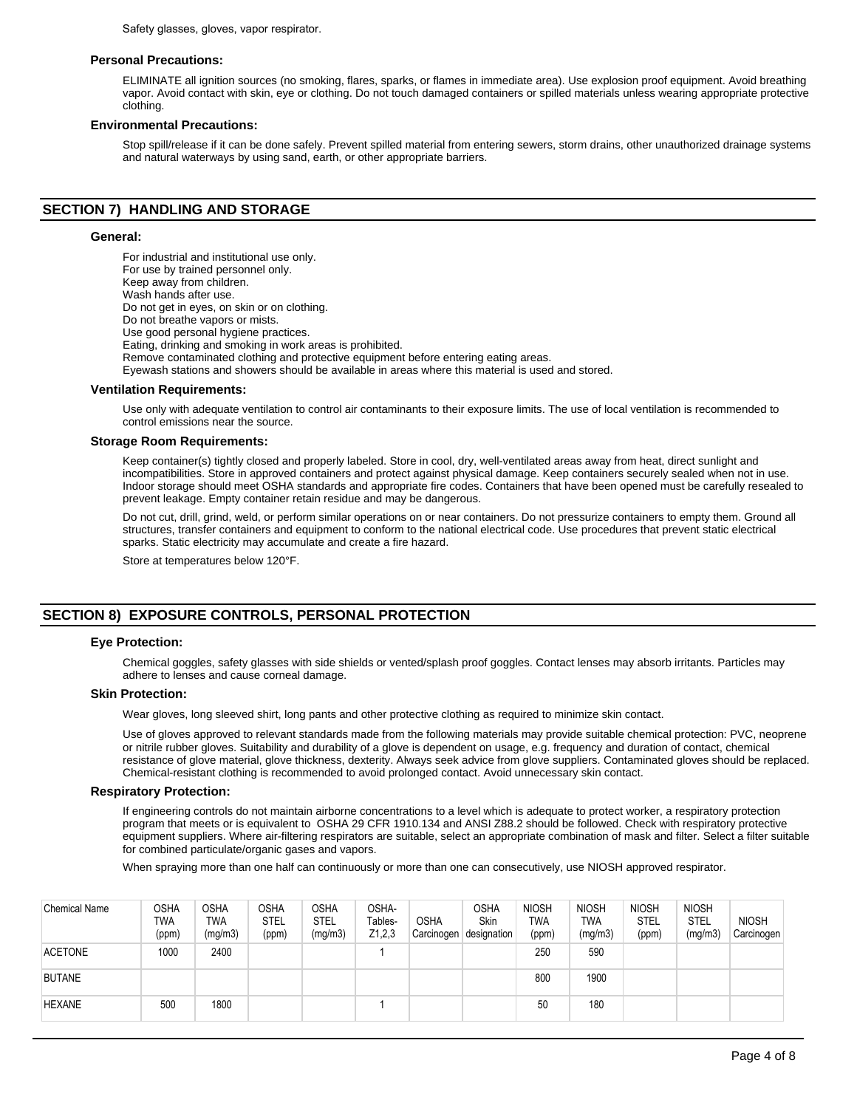Safety glasses, gloves, vapor respirator.

#### **Personal Precautions:**

ELIMINATE all ignition sources (no smoking, flares, sparks, or flames in immediate area). Use explosion proof equipment. Avoid breathing vapor. Avoid contact with skin, eye or clothing. Do not touch damaged containers or spilled materials unless wearing appropriate protective clothing.

#### **Environmental Precautions:**

Stop spill/release if it can be done safely. Prevent spilled material from entering sewers, storm drains, other unauthorized drainage systems and natural waterways by using sand, earth, or other appropriate barriers.

# **SECTION 7) HANDLING AND STORAGE**

#### **General:**

For industrial and institutional use only. For use by trained personnel only. Keep away from children. Wash hands after use. Do not get in eyes, on skin or on clothing. Do not breathe vapors or mists. Use good personal hygiene practices. Eating, drinking and smoking in work areas is prohibited. Remove contaminated clothing and protective equipment before entering eating areas. Eyewash stations and showers should be available in areas where this material is used and stored.

#### **Ventilation Requirements:**

Use only with adequate ventilation to control air contaminants to their exposure limits. The use of local ventilation is recommended to control emissions near the source.

#### **Storage Room Requirements:**

Keep container(s) tightly closed and properly labeled. Store in cool, dry, well-ventilated areas away from heat, direct sunlight and incompatibilities. Store in approved containers and protect against physical damage. Keep containers securely sealed when not in use. Indoor storage should meet OSHA standards and appropriate fire codes. Containers that have been opened must be carefully resealed to prevent leakage. Empty container retain residue and may be dangerous.

Do not cut, drill, grind, weld, or perform similar operations on or near containers. Do not pressurize containers to empty them. Ground all structures, transfer containers and equipment to conform to the national electrical code. Use procedures that prevent static electrical sparks. Static electricity may accumulate and create a fire hazard.

Store at temperatures below 120°F.

# **SECTION 8) EXPOSURE CONTROLS, PERSONAL PROTECTION**

#### **Eye Protection:**

Chemical goggles, safety glasses with side shields or vented/splash proof goggles. Contact lenses may absorb irritants. Particles may adhere to lenses and cause corneal damage.

#### **Skin Protection:**

Wear gloves, long sleeved shirt, long pants and other protective clothing as required to minimize skin contact.

Use of gloves approved to relevant standards made from the following materials may provide suitable chemical protection: PVC, neoprene or nitrile rubber gloves. Suitability and durability of a glove is dependent on usage, e.g. frequency and duration of contact, chemical resistance of glove material, glove thickness, dexterity. Always seek advice from glove suppliers. Contaminated gloves should be replaced. Chemical-resistant clothing is recommended to avoid prolonged contact. Avoid unnecessary skin contact.

#### **Respiratory Protection:**

If engineering controls do not maintain airborne concentrations to a level which is adequate to protect worker, a respiratory protection program that meets or is equivalent to OSHA 29 CFR 1910.134 and ANSI Z88.2 should be followed. Check with respiratory protective equipment suppliers. Where air-filtering respirators are suitable, select an appropriate combination of mask and filter. Select a filter suitable for combined particulate/organic gases and vapors.

When spraying more than one half can continuously or more than one can consecutively, use NIOSH approved respirator.

| <b>Chemical Name</b> | <b>OSHA</b><br>TWA<br>(ppm) | <b>OSHA</b><br>TWA<br>(mg/m3) | <b>OSHA</b><br><b>STEL</b><br>(ppm) | <b>OSHA</b><br><b>STEL</b><br>(mg/m3) | OSHA-<br>Tables-<br>Z1,2,3 | <b>OSHA</b><br>Carcinogen | <b>OSHA</b><br><b>Skin</b><br>designation | <b>NIOSH</b><br><b>TWA</b><br>(ppm) | <b>NIOSH</b><br><b>TWA</b><br>(mg/m3) | <b>NIOSH</b><br>STEL<br>(ppm) | <b>NIOSH</b><br><b>STEL</b><br>(mg/m3) | <b>NIOSH</b><br>Carcinogen |
|----------------------|-----------------------------|-------------------------------|-------------------------------------|---------------------------------------|----------------------------|---------------------------|-------------------------------------------|-------------------------------------|---------------------------------------|-------------------------------|----------------------------------------|----------------------------|
| <b>ACETONE</b>       | 1000                        | 2400                          |                                     |                                       |                            |                           |                                           | 250                                 | 590                                   |                               |                                        |                            |
| <b>BUTANE</b>        |                             |                               |                                     |                                       |                            |                           |                                           | 800                                 | 1900                                  |                               |                                        |                            |
| <b>HEXANE</b>        | 500                         | 1800                          |                                     |                                       |                            |                           |                                           | 50                                  | 180                                   |                               |                                        |                            |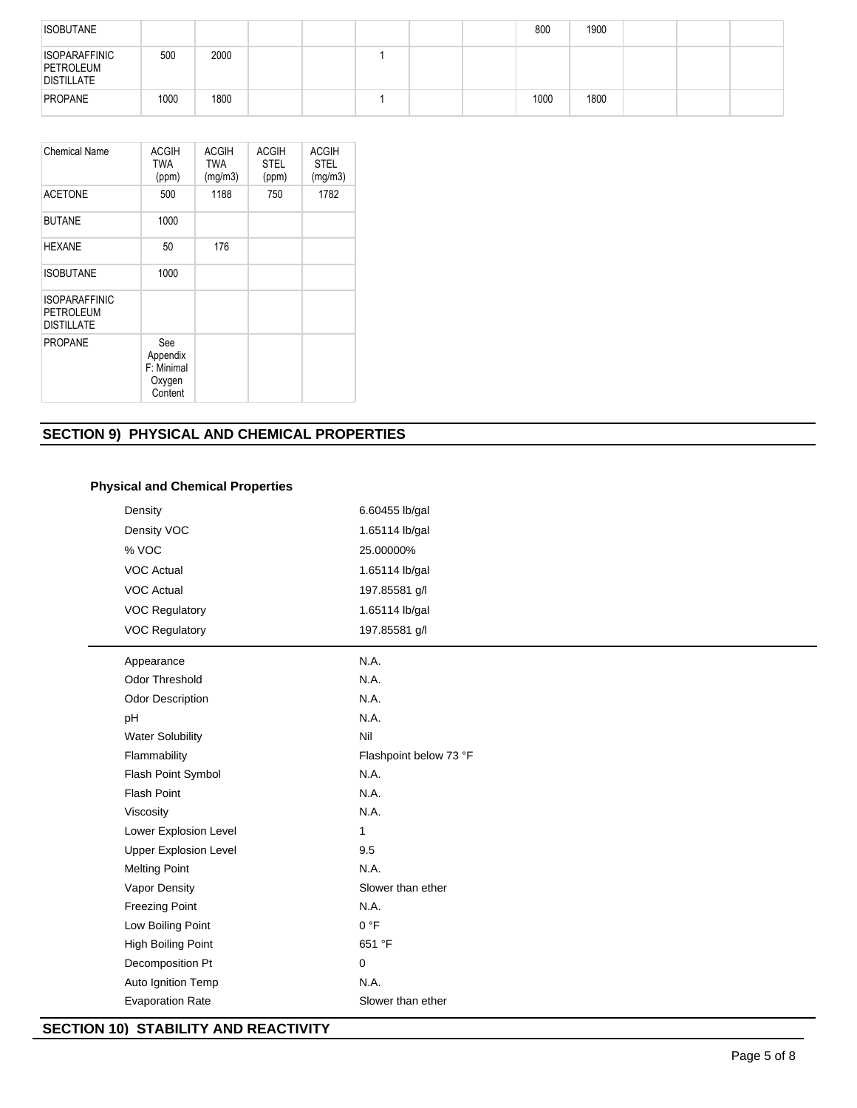| <b>ISOBUTANE</b>                                       |      |      |  |  | 800  | 1900 |  |  |
|--------------------------------------------------------|------|------|--|--|------|------|--|--|
| <b>ISOPARAFFINIC</b><br>PETROLEUM<br><b>DISTILLATE</b> | 500  | 2000 |  |  |      |      |  |  |
| PROPANE                                                | 1000 | 1800 |  |  | 1000 | 1800 |  |  |

| <b>Chemical Name</b>                                   | <b>ACGIH</b><br><b>TWA</b><br>(ppm)                | <b>ACGIH</b><br><b>TWA</b><br>(mg/m3) | <b>ACGIH</b><br><b>STEL</b><br>(ppm) | <b>ACGIH</b><br><b>STEL</b><br>(mg/m3) |
|--------------------------------------------------------|----------------------------------------------------|---------------------------------------|--------------------------------------|----------------------------------------|
| <b>ACETONE</b>                                         | 500                                                | 1188                                  | 750                                  | 1782                                   |
| <b>BUTANE</b>                                          | 1000                                               |                                       |                                      |                                        |
| <b>HEXANE</b>                                          | 50                                                 | 176                                   |                                      |                                        |
| <b>ISOBUTANE</b>                                       | 1000                                               |                                       |                                      |                                        |
| <b>ISOPARAFFINIC</b><br>PETROLEUM<br><b>DISTILLATE</b> |                                                    |                                       |                                      |                                        |
| <b>PROPANE</b>                                         | See<br>Appendix<br>F: Minimal<br>Oxygen<br>Content |                                       |                                      |                                        |

# **SECTION 9) PHYSICAL AND CHEMICAL PROPERTIES**

| 6.60455 lb/gal         |
|------------------------|
| 1.65114 lb/gal         |
| 25.00000%              |
| 1.65114 lb/gal         |
| 197.85581 g/l          |
| 1.65114 lb/gal         |
| 197.85581 g/l          |
| N.A.                   |
| N.A.                   |
| N.A.                   |
| N.A.                   |
| Nil                    |
| Flashpoint below 73 °F |
| N.A.                   |
| N.A.                   |
| N.A.                   |
| $\mathbf{1}$           |
| 9.5                    |
| N.A.                   |
| Slower than ether      |
| N.A.                   |
| 0 °F                   |
| 651 °F                 |
| 0                      |
| N.A.                   |
| Slower than ether      |
|                        |

# **SECTION 10) STABILITY AND REACTIVITY**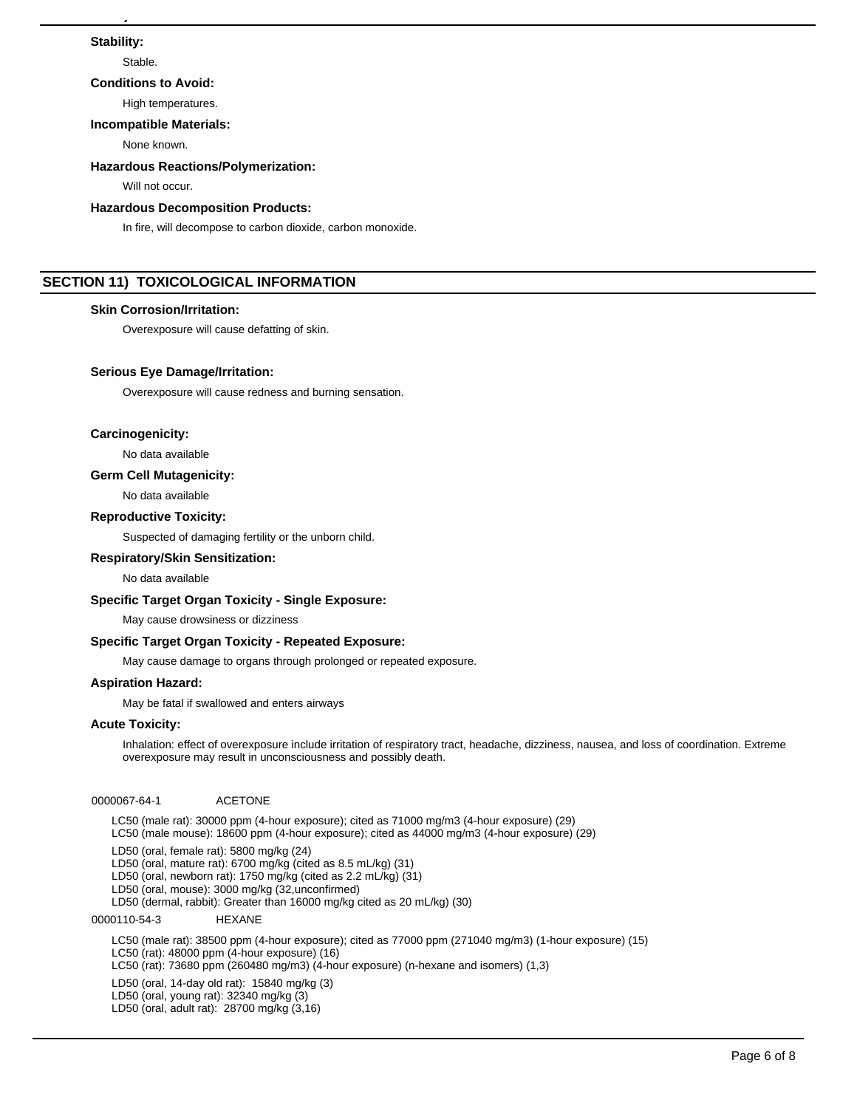## **Stability:**

Stable.

#### **Conditions to Avoid:**

High temperatures.

**SECTION 10) STABILITY AND REACTIVITY**

#### **Incompatible Materials:**

None known.

#### **Hazardous Reactions/Polymerization:**

Will not occur.

#### **Hazardous Decomposition Products:**

In fire, will decompose to carbon dioxide, carbon monoxide.

# **SECTION 11) TOXICOLOGICAL INFORMATION**

# **Skin Corrosion/Irritation:**

Overexposure will cause defatting of skin.

# **Serious Eye Damage/Irritation:**

Overexposure will cause redness and burning sensation.

# **Carcinogenicity:**

No data available

## **Germ Cell Mutagenicity:**

No data available

# **Reproductive Toxicity:**

Suspected of damaging fertility or the unborn child.

#### **Respiratory/Skin Sensitization:**

#### No data available

# **Specific Target Organ Toxicity - Single Exposure:**

May cause drowsiness or dizziness

#### **Specific Target Organ Toxicity - Repeated Exposure:**

May cause damage to organs through prolonged or repeated exposure.

# **Aspiration Hazard:**

May be fatal if swallowed and enters airways

#### **Acute Toxicity:**

Inhalation: effect of overexposure include irritation of respiratory tract, headache, dizziness, nausea, and loss of coordination. Extreme overexposure may result in unconsciousness and possibly death.

0000067-64-1 ACETONE

LC50 (male rat): 30000 ppm (4-hour exposure); cited as 71000 mg/m3 (4-hour exposure) (29) LC50 (male mouse): 18600 ppm (4-hour exposure); cited as 44000 mg/m3 (4-hour exposure) (29)

LD50 (oral, female rat): 5800 mg/kg (24)

LD50 (oral, mature rat): 6700 mg/kg (cited as 8.5 mL/kg) (31)

LD50 (oral, newborn rat): 1750 mg/kg (cited as 2.2 mL/kg) (31)

LD50 (oral, mouse): 3000 mg/kg (32,unconfirmed) LD50 (dermal, rabbit): Greater than 16000 mg/kg cited as 20 mL/kg) (30)

0000110-54-3 HEXANE

LC50 (male rat): 38500 ppm (4-hour exposure); cited as 77000 ppm (271040 mg/m3) (1-hour exposure) (15) LC50 (rat): 48000 ppm (4-hour exposure) (16) LC50 (rat): 73680 ppm (260480 mg/m3) (4-hour exposure) (n-hexane and isomers) (1,3) LD50 (oral, 14-day old rat): 15840 mg/kg (3) LD50 (oral, young rat): 32340 mg/kg (3)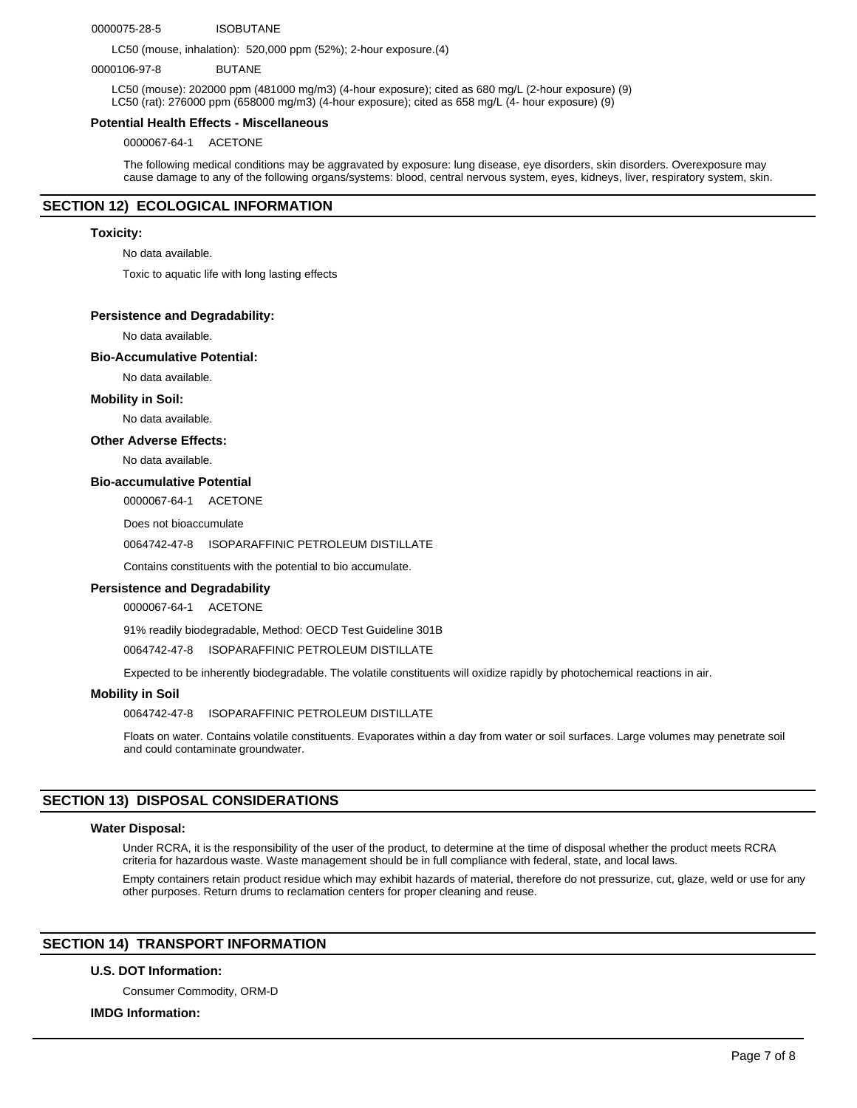#### 0000075-28-5 ISOBUTANE

LC50 (mouse, inhalation): 520,000 ppm (52%); 2-hour exposure.(4)

#### 0000106-97-8 BUTANE

LC50 (mouse): 202000 ppm (481000 mg/m3) (4-hour exposure); cited as 680 mg/L (2-hour exposure) (9) LC50 (rat): 276000 ppm (658000 mg/m3) (4-hour exposure); cited as 658 mg/L (4- hour exposure) (9)

#### **Potential Health Effects - Miscellaneous**

0000067-64-1 ACETONE

The following medical conditions may be aggravated by exposure: lung disease, eye disorders, skin disorders. Overexposure may cause damage to any of the following organs/systems: blood, central nervous system, eyes, kidneys, liver, respiratory system, skin.

# **SECTION 12) ECOLOGICAL INFORMATION**

#### **Toxicity:**

No data available.

Toxic to aquatic life with long lasting effects

#### **Persistence and Degradability:**

No data available.

#### **Bio-Accumulative Potential:**

No data available.

#### **Mobility in Soil:**

No data available.

#### **Other Adverse Effects:**

No data available.

# **Bio-accumulative Potential**

0000067-64-1 ACETONE

Does not bioaccumulate

#### 0064742-47-8 ISOPARAFFINIC PETROLEUM DISTILLATE

Contains constituents with the potential to bio accumulate.

#### **Persistence and Degradability**

0000067-64-1 ACETONE

91% readily biodegradable, Method: OECD Test Guideline 301B

0064742-47-8 ISOPARAFFINIC PETROLEUM DISTILLATE

Expected to be inherently biodegradable. The volatile constituents will oxidize rapidly by photochemical reactions in air.

#### **Mobility in Soil**

0064742-47-8 ISOPARAFFINIC PETROLEUM DISTILLATE

Floats on water. Contains volatile constituents. Evaporates within a day from water or soil surfaces. Large volumes may penetrate soil and could contaminate groundwater.

#### **SECTION 13) DISPOSAL CONSIDERATIONS**

#### **Water Disposal:**

Under RCRA, it is the responsibility of the user of the product, to determine at the time of disposal whether the product meets RCRA criteria for hazardous waste. Waste management should be in full compliance with federal, state, and local laws.

Empty containers retain product residue which may exhibit hazards of material, therefore do not pressurize, cut, glaze, weld or use for any other purposes. Return drums to reclamation centers for proper cleaning and reuse.

# **SECTION 14) TRANSPORT INFORMATION**

# **U.S. DOT Information:**

Consumer Commodity, ORM-D

#### **IMDG Information:**